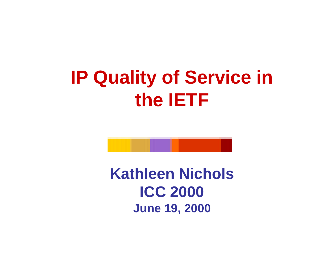## **IP Quality of Service in the IETF**

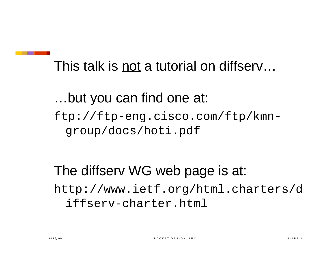This talk is not a tutorial on diffserv…

…but you can find one at: ftp://ftp-eng.cisco.com/ftp/kmngroup/docs/hoti.pdf

The diffserv WG web page is at: http://www.ietf.org/html.charters/d iffserv-charter.html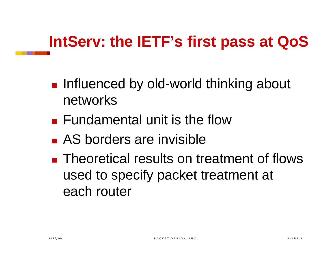### **IntServ: the IETF's first pass at QoS**

- **n** Influenced by old-world thinking about networks
- $\blacksquare$  Fundamental unit is the flow
- **n** AS borders are invisible
- **n** Theoretical results on treatment of flows used to specify packet treatment at each router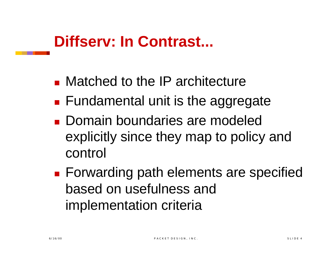#### **Diffserv: In Contrast...**

- $\blacksquare$  Matched to the IP architecture
- $\blacksquare$  Fundamental unit is the aggregate
- **n** Domain boundaries are modeled explicitly since they map to policy and control
- **Forwarding path elements are specified** based on usefulness and implementation criteria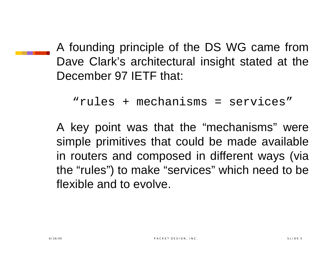A founding principle of the DS WG came from Dave Clark's architectural insight stated at the December 97 IETF that:

```
"rules + mechanisms = services"
```
A key point was that the "mechanisms" were simple primitives that could be made available in routers and composed in different ways (via the "rules") to make "services" which need to be flexible and to evolve.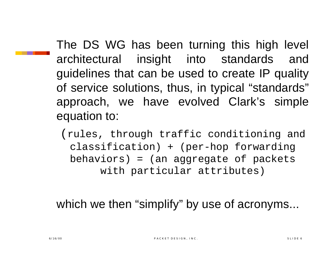The DS WG has been turning this high level architectural insight into standards and guidelines that can be used to create IP quality of service solutions, thus, in typical "standards" approach, we have evolved Clark's simple equation to:

(rules, through traffic conditioning and classification) + (per-hop forwarding behaviors) = (an aggregate of packets with particular attributes)

which we then "simplify" by use of acronyms...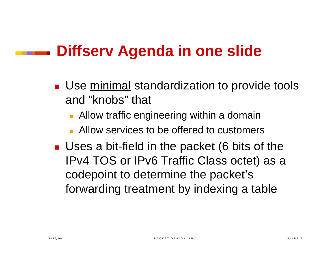#### **Diffserv Agenda in one slide**

- **Use minimal standardization to provide tools** and "knobs" that
	- **Allow traffic engineering within a domain**
	- **E** Allow services to be offered to customers
- **Uses a bit-field in the packet (6 bits of the** IPv4 TOS or IPv6 Traffic Class octet) as a codepoint to determine the packet's forwarding treatment by indexing a table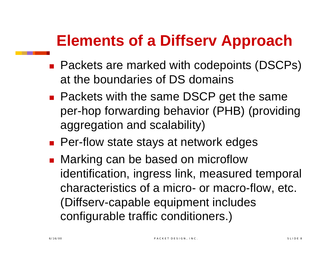#### **Elements of a Diffserv Approach**

- Packets are marked with codepoints (DSCPs) at the boundaries of DS domains
- **n** Packets with the same DSCP get the same per-hop forwarding behavior (PHB) (providing aggregation and scalability)
- **n** Per-flow state stays at network edges
- Marking can be based on microflow identification, ingress link, measured temporal characteristics of a micro- or macro-flow, etc. (Diffserv-capable equipment includes configurable traffic conditioners.)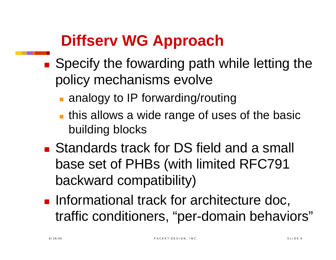### **Diffserv WG Approach**

- Specify the fowarding path while letting the policy mechanisms evolve
	- $\blacksquare$  analogy to IP forwarding/routing
	- $\blacksquare$  this allows a wide range of uses of the basic building blocks
- Standards track for DS field and a small base set of PHBs (with limited RFC791 backward compatibility)
- **n Informational track for architecture doc,** traffic conditioners, "per-domain behaviors"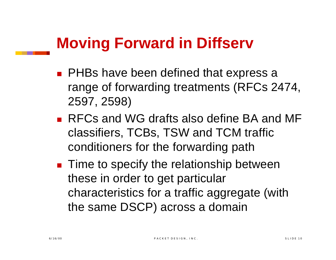#### **Moving Forward in Diffserv**

- **n** PHBs have been defined that express a range of forwarding treatments (RFCs 2474, 2597, 2598)
- RFCs and WG drafts also define BA and MF classifiers, TCBs, TSW and TCM traffic conditioners for the forwarding path
- **n** Time to specify the relationship between these in order to get particular characteristics for a traffic aggregate (with the same DSCP) across a domain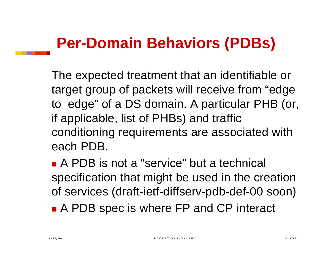#### **Per-Domain Behaviors (PDBs)**

The expected treatment that an identifiable or target group of packets will receive from "edge to edge" of a DS domain. A particular PHB (or, if applicable, list of PHBs) and traffic conditioning requirements are associated with each PDB.

**A PDB is not a "service" but a technical** specification that might be used in the creation of services (draft-ietf-diffserv-pdb-def-00 soon)

■ A PDB spec is where FP and CP interact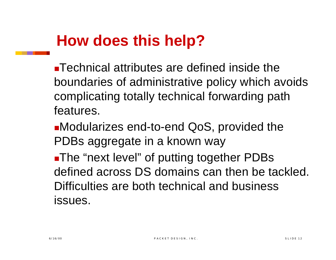#### **How does this help?**

 $\blacksquare$  Technical attributes are defined inside the boundaries of administrative policy which avoids complicating totally technical forwarding path features.

**nModularizes end-to-end QoS, provided the** PDBs aggregate in a known way

**-The "next level" of putting together PDBs** defined across DS domains can then be tackled. Difficulties are both technical and business issues.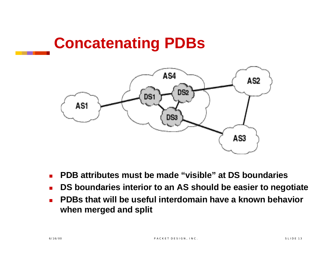#### **Concatenating PDBs**



- **n** PDB attributes must be made "visible" at DS boundaries
- <sup>n</sup> **DS boundaries interior to an AS should be easier to negotiate**
- **n PDBs that will be useful interdomain have a known behavior when merged and split**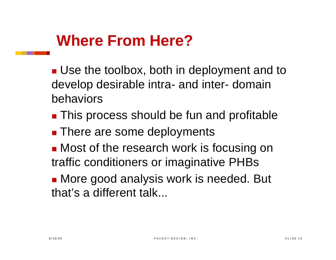#### **Where From Here?**

- **De the toolbox, both in deployment and to** develop desirable intra- and inter- domain behaviors
- **n** This process should be fun and profitable
- **n** There are some deployments
- **n** Most of the research work is focusing on traffic conditioners or imaginative PHBs
- **n** More good analysis work is needed. But that's a different talk...